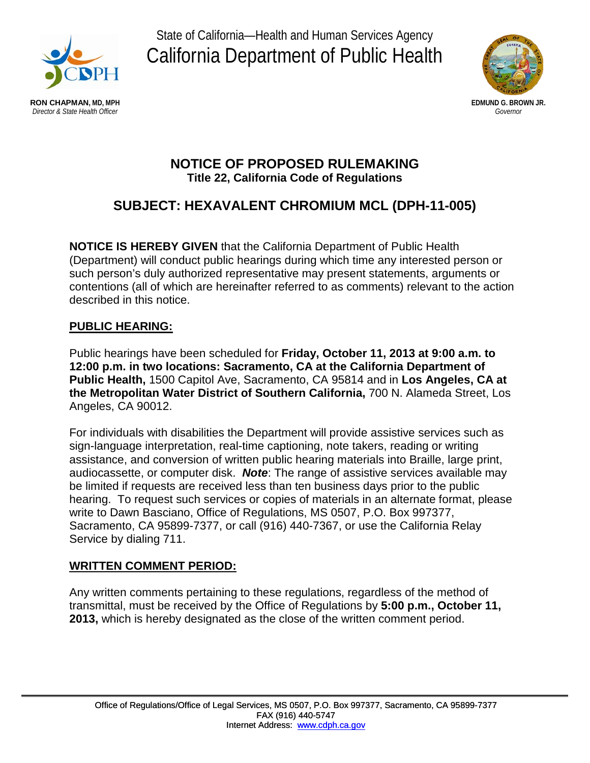

State of California—Health and Human Services Agency California Department of Public Health



# **NOTICE OF PROPOSED RULEMAKING Title 22, California Code of Regulations**

# **SUBJECT: HEXAVALENT CHROMIUM MCL (DPH-11-005)**

**NOTICE IS HEREBY GIVEN** that the California Department of Public Health (Department) will conduct public hearings during which time any interested person or such person's duly authorized representative may present statements, arguments or contentions (all of which are hereinafter referred to as comments) relevant to the action described in this notice.

## **PUBLIC HEARING:**

Public hearings have been scheduled for **Friday, October 11, 2013 at 9:00 a.m. to 12:00 p.m. in two locations: Sacramento, CA at the California Department of Public Health,** 1500 Capitol Ave, Sacramento, CA 95814 and in **Los Angeles, CA at the Metropolitan Water District of Southern California,** 700 N. Alameda Street, Los Angeles, CA 90012.

For individuals with disabilities the Department will provide assistive services such as sign-language interpretation, real-time captioning, note takers, reading or writing assistance, and conversion of written public hearing materials into Braille, large print, audiocassette, or computer disk. *Note*: The range of assistive services available may be limited if requests are received less than ten business days prior to the public hearing. To request such services or copies of materials in an alternate format, please write to Dawn Basciano, Office of Regulations, MS 0507, P.O. Box 997377, Sacramento, CA 95899-7377, or call (916) 440-7367, or use the California Relay Service by dialing 711.

# **WRITTEN COMMENT PERIOD:**

Any written comments pertaining to these regulations, regardless of the method of transmittal, must be received by the Office of Regulations by **5:00 p.m., October 11, 2013,** which is hereby designated as the close of the written comment period.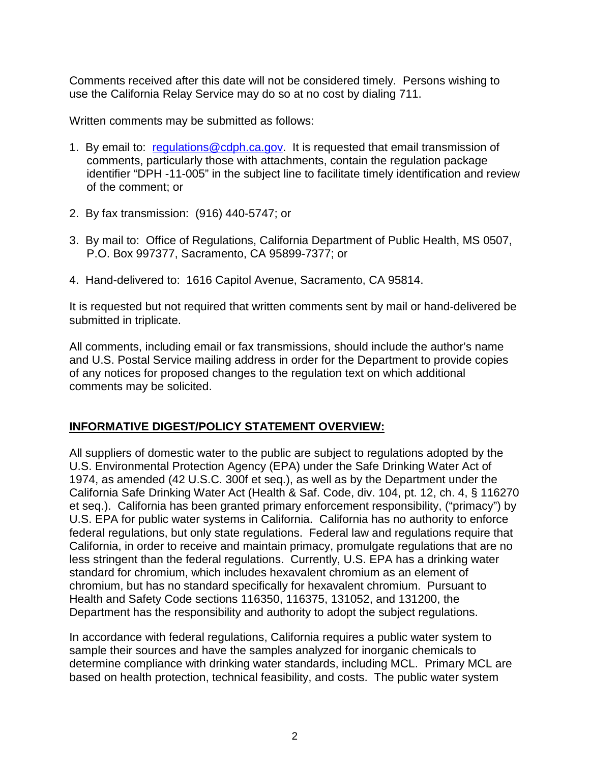Comments received after this date will not be considered timely. Persons wishing to use the California Relay Service may do so at no cost by dialing 711.

Written comments may be submitted as follows:

- 1. By email to: [regulations@cdph.ca.gov.](mailto:regulations@cdph.ca.gov) It is requested that email transmission of comments, particularly those with attachments, contain the regulation package identifier "DPH -11-005" in the subject line to facilitate timely identification and review of the comment; or
- 2. By fax transmission: (916) 440-5747; or
- 3. By mail to: Office of Regulations, California Department of Public Health, MS 0507, P.O. Box 997377, Sacramento, CA 95899-7377; or
- 4. Hand-delivered to: 1616 Capitol Avenue, Sacramento, CA 95814.

It is requested but not required that written comments sent by mail or hand-delivered be submitted in triplicate.

All comments, including email or fax transmissions, should include the author's name and U.S. Postal Service mailing address in order for the Department to provide copies of any notices for proposed changes to the regulation text on which additional comments may be solicited.

### **INFORMATIVE DIGEST/POLICY STATEMENT OVERVIEW:**

All suppliers of domestic water to the public are subject to regulations adopted by the U.S. Environmental Protection Agency (EPA) under the Safe Drinking Water Act of 1974, as amended (42 U.S.C. 300f et seq.), as well as by the Department under the California Safe Drinking Water Act (Health & Saf. Code, div. 104, pt. 12, ch. 4, § 116270 et seq.). California has been granted primary enforcement responsibility, ("primacy") by U.S. EPA for public water systems in California. California has no authority to enforce federal regulations, but only state regulations. Federal law and regulations require that California, in order to receive and maintain primacy, promulgate regulations that are no less stringent than the federal regulations. Currently, U.S. EPA has a drinking water standard for chromium, which includes hexavalent chromium as an element of chromium, but has no standard specifically for hexavalent chromium. Pursuant to Health and Safety Code sections 116350, 116375, 131052, and 131200, the Department has the responsibility and authority to adopt the subject regulations.

In accordance with federal regulations, California requires a public water system to sample their sources and have the samples analyzed for inorganic chemicals to determine compliance with drinking water standards, including MCL. Primary MCL are based on health protection, technical feasibility, and costs. The public water system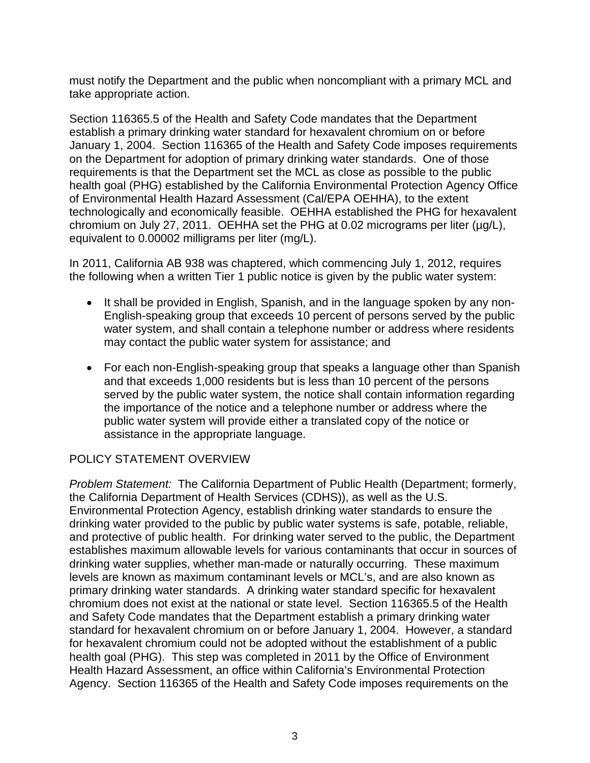must notify the Department and the public when noncompliant with a primary MCL and take appropriate action.

Section 116365.5 of the Health and Safety Code mandates that the Department establish a primary drinking water standard for hexavalent chromium on or before January 1, 2004. Section 116365 of the Health and Safety Code imposes requirements on the Department for adoption of primary drinking water standards. One of those requirements is that the Department set the MCL as close as possible to the public health goal (PHG) established by the California Environmental Protection Agency Office of Environmental Health Hazard Assessment (Cal/EPA OEHHA), to the extent technologically and economically feasible. OEHHA established the PHG for hexavalent chromium on July 27, 2011. OEHHA set the PHG at 0.02 micrograms per liter  $(\mu g/L)$ , equivalent to 0.00002 milligrams per liter (mg/L).

In 2011, California AB 938 was chaptered, which commencing July 1, 2012, requires the following when a written Tier 1 public notice is given by the public water system:

- It shall be provided in English, Spanish, and in the language spoken by any non-English-speaking group that exceeds 10 percent of persons served by the public water system, and shall contain a telephone number or address where residents may contact the public water system for assistance; and
- For each non-English-speaking group that speaks a language other than Spanish and that exceeds 1,000 residents but is less than 10 percent of the persons served by the public water system, the notice shall contain information regarding the importance of the notice and a telephone number or address where the public water system will provide either a translated copy of the notice or assistance in the appropriate language.

### POLICY STATEMENT OVERVIEW

*Problem Statement:* The California Department of Public Health (Department; formerly, the California Department of Health Services (CDHS)), as well as the U.S. Environmental Protection Agency, establish drinking water standards to ensure the drinking water provided to the public by public water systems is safe, potable, reliable, and protective of public health. For drinking water served to the public, the Department establishes maximum allowable levels for various contaminants that occur in sources of drinking water supplies, whether man-made or naturally occurring. These maximum levels are known as maximum contaminant levels or MCL's, and are also known as primary drinking water standards. A drinking water standard specific for hexavalent chromium does not exist at the national or state level. Section 116365.5 of the Health and Safety Code mandates that the Department establish a primary drinking water standard for hexavalent chromium on or before January 1, 2004. However, a standard for hexavalent chromium could not be adopted without the establishment of a public health goal (PHG). This step was completed in 2011 by the Office of Environment Health Hazard Assessment, an office within California's Environmental Protection Agency. Section 116365 of the Health and Safety Code imposes requirements on the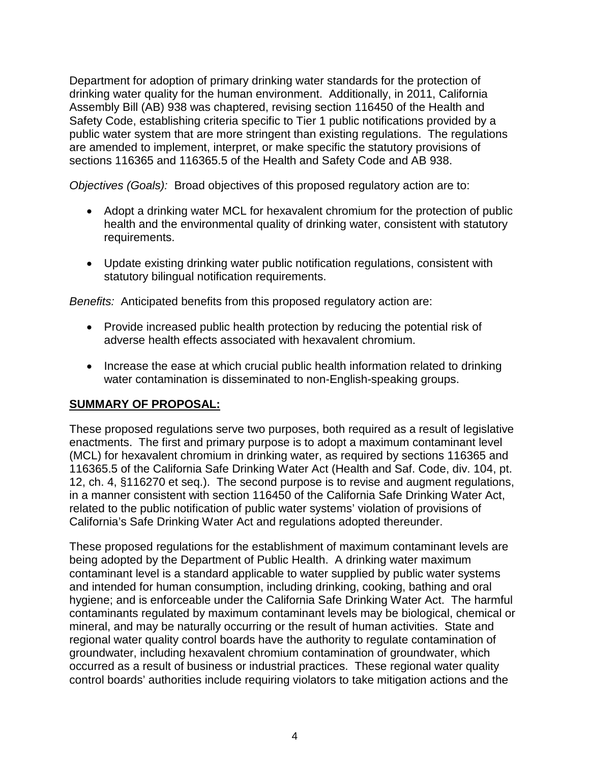Department for adoption of primary drinking water standards for the protection of drinking water quality for the human environment. Additionally, in 2011, California Assembly Bill (AB) 938 was chaptered, revising section 116450 of the Health and Safety Code, establishing criteria specific to Tier 1 public notifications provided by a public water system that are more stringent than existing regulations. The regulations are amended to implement, interpret, or make specific the statutory provisions of sections 116365 and 116365.5 of the Health and Safety Code and AB 938.

*Objectives (Goals):* Broad objectives of this proposed regulatory action are to:

- Adopt a drinking water MCL for hexavalent chromium for the protection of public health and the environmental quality of drinking water, consistent with statutory requirements.
- Update existing drinking water public notification regulations, consistent with statutory bilingual notification requirements.

*Benefits:* Anticipated benefits from this proposed regulatory action are:

- Provide increased public health protection by reducing the potential risk of adverse health effects associated with hexavalent chromium.
- Increase the ease at which crucial public health information related to drinking water contamination is disseminated to non-English-speaking groups.

### **SUMMARY OF PROPOSAL:**

These proposed regulations serve two purposes, both required as a result of legislative enactments. The first and primary purpose is to adopt a maximum contaminant level (MCL) for hexavalent chromium in drinking water, as required by sections 116365 and 116365.5 of the California Safe Drinking Water Act (Health and Saf. Code, div. 104, pt. 12, ch. 4, §116270 et seq.). The second purpose is to revise and augment regulations, in a manner consistent with section 116450 of the California Safe Drinking Water Act, related to the public notification of public water systems' violation of provisions of California's Safe Drinking Water Act and regulations adopted thereunder.

These proposed regulations for the establishment of maximum contaminant levels are being adopted by the Department of Public Health. A drinking water maximum contaminant level is a standard applicable to water supplied by public water systems and intended for human consumption, including drinking, cooking, bathing and oral hygiene; and is enforceable under the California Safe Drinking Water Act. The harmful contaminants regulated by maximum contaminant levels may be biological, chemical or mineral, and may be naturally occurring or the result of human activities. State and regional water quality control boards have the authority to regulate contamination of groundwater, including hexavalent chromium contamination of groundwater, which occurred as a result of business or industrial practices. These regional water quality control boards' authorities include requiring violators to take mitigation actions and the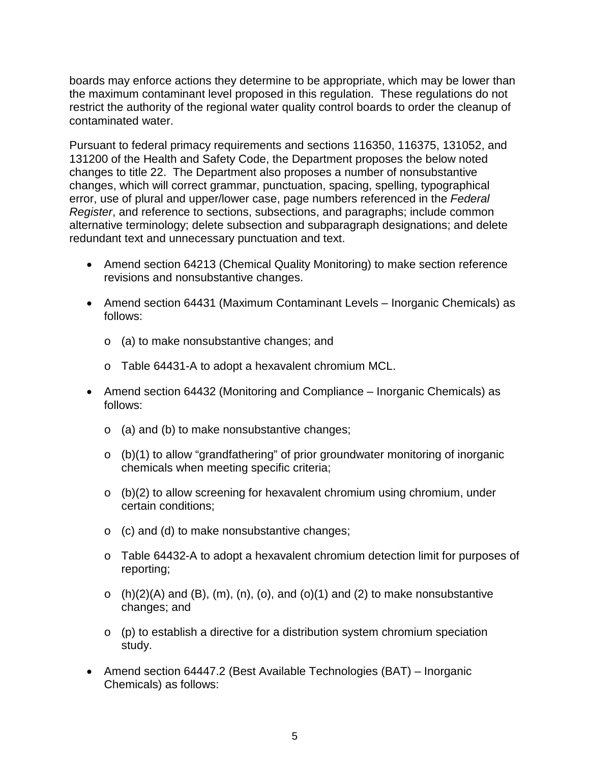boards may enforce actions they determine to be appropriate, which may be lower than the maximum contaminant level proposed in this regulation. These regulations do not restrict the authority of the regional water quality control boards to order the cleanup of contaminated water.

Pursuant to federal primacy requirements and sections 116350, 116375, 131052, and 131200 of the Health and Safety Code, the Department proposes the below noted changes to title 22. The Department also proposes a number of nonsubstantive changes, which will correct grammar, punctuation, spacing, spelling, typographical error, use of plural and upper/lower case, page numbers referenced in the *Federal Register*, and reference to sections, subsections, and paragraphs; include common alternative terminology; delete subsection and subparagraph designations; and delete redundant text and unnecessary punctuation and text.

- Amend section 64213 (Chemical Quality Monitoring) to make section reference revisions and nonsubstantive changes.
- Amend section 64431 (Maximum Contaminant Levels Inorganic Chemicals) as follows:
	- o (a) to make nonsubstantive changes; and
	- o Table 64431-A to adopt a hexavalent chromium MCL.
- Amend section 64432 (Monitoring and Compliance Inorganic Chemicals) as follows:
	- o (a) and (b) to make nonsubstantive changes;
	- o (b)(1) to allow "grandfathering" of prior groundwater monitoring of inorganic chemicals when meeting specific criteria;
	- $\circ$  (b)(2) to allow screening for hexavalent chromium using chromium, under certain conditions;
	- o (c) and (d) to make nonsubstantive changes;
	- o Table 64432-A to adopt a hexavalent chromium detection limit for purposes of reporting;
	- $\circ$  (h)(2)(A) and (B), (m), (n), (o), and (o)(1) and (2) to make nonsubstantive changes; and
	- o (p) to establish a directive for a distribution system chromium speciation study.
- Amend section 64447.2 (Best Available Technologies (BAT) Inorganic Chemicals) as follows: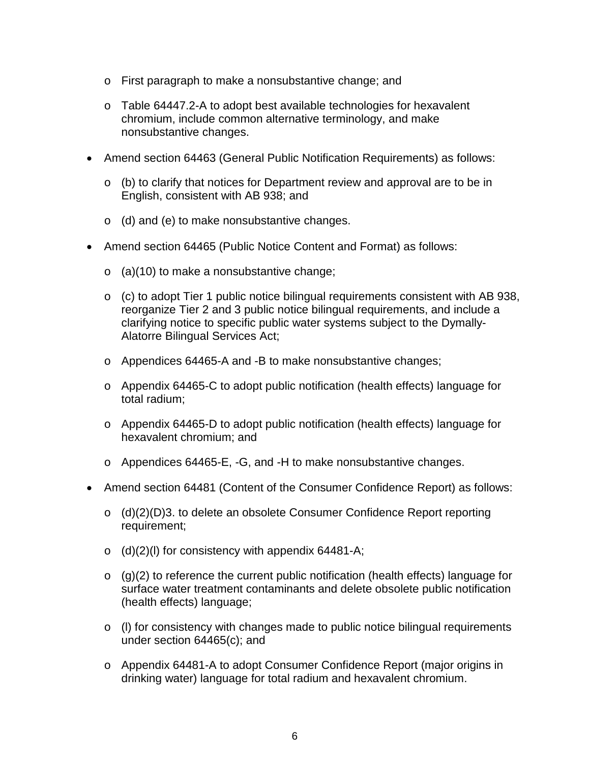- o First paragraph to make a nonsubstantive change; and
- o Table 64447.2-A to adopt best available technologies for hexavalent chromium, include common alternative terminology, and make nonsubstantive changes.
- Amend section 64463 (General Public Notification Requirements) as follows:
	- o (b) to clarify that notices for Department review and approval are to be in English, consistent with AB 938; and
	- o (d) and (e) to make nonsubstantive changes.
- Amend section 64465 (Public Notice Content and Format) as follows:
	- $\circ$  (a)(10) to make a nonsubstantive change;
	- o (c) to adopt Tier 1 public notice bilingual requirements consistent with AB 938, reorganize Tier 2 and 3 public notice bilingual requirements, and include a clarifying notice to specific public water systems subject to the Dymally-Alatorre Bilingual Services Act;
	- o Appendices 64465-A and -B to make nonsubstantive changes;
	- o Appendix 64465-C to adopt public notification (health effects) language for total radium;
	- o Appendix 64465-D to adopt public notification (health effects) language for hexavalent chromium; and
	- o Appendices 64465-E, -G, and -H to make nonsubstantive changes.
- Amend section 64481 (Content of the Consumer Confidence Report) as follows:
	- o (d)(2)(D)3. to delete an obsolete Consumer Confidence Report reporting requirement;
	- $\circ$  (d)(2)(l) for consistency with appendix 64481-A;
	- $\circ$  (g)(2) to reference the current public notification (health effects) language for surface water treatment contaminants and delete obsolete public notification (health effects) language;
	- o (l) for consistency with changes made to public notice bilingual requirements under section 64465(c); and
	- o Appendix 64481-A to adopt Consumer Confidence Report (major origins in drinking water) language for total radium and hexavalent chromium.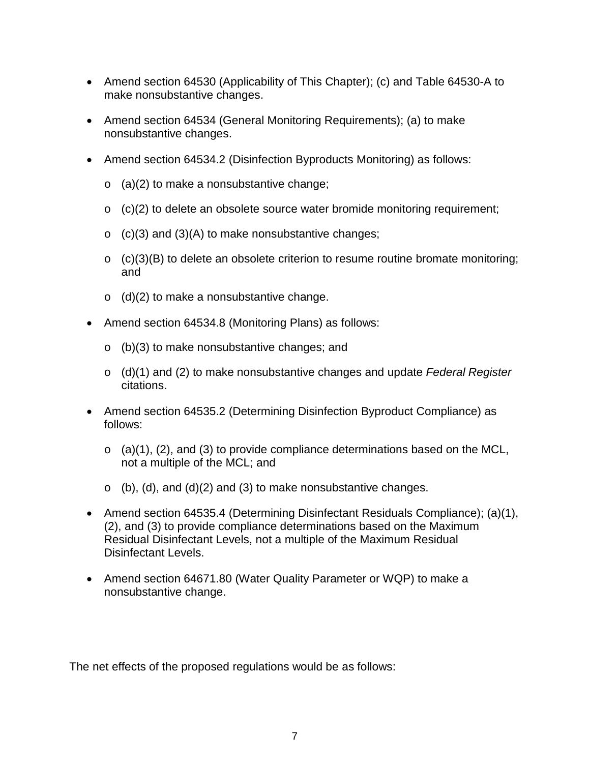- Amend section 64530 (Applicability of This Chapter); (c) and Table 64530-A to make nonsubstantive changes.
- Amend section 64534 (General Monitoring Requirements); (a) to make nonsubstantive changes.
- Amend section 64534.2 (Disinfection Byproducts Monitoring) as follows:
	- $\circ$  (a)(2) to make a nonsubstantive change;
	- $\circ$  (c)(2) to delete an obsolete source water bromide monitoring requirement;
	- $\circ$  (c)(3) and (3)(A) to make nonsubstantive changes;
	- $\circ$  (c)(3)(B) to delete an obsolete criterion to resume routine bromate monitoring; and
	- $\circ$  (d)(2) to make a nonsubstantive change.
- Amend section 64534.8 (Monitoring Plans) as follows:
	- o (b)(3) to make nonsubstantive changes; and
	- o (d)(1) and (2) to make nonsubstantive changes and update *Federal Register* citations.
- Amend section 64535.2 (Determining Disinfection Byproduct Compliance) as follows:
	- $\circ$  (a)(1), (2), and (3) to provide compliance determinations based on the MCL, not a multiple of the MCL; and
	- $\circ$  (b), (d), and (d)(2) and (3) to make nonsubstantive changes.
- Amend section 64535.4 (Determining Disinfectant Residuals Compliance); (a)(1), (2), and (3) to provide compliance determinations based on the Maximum Residual Disinfectant Levels, not a multiple of the Maximum Residual Disinfectant Levels.
- Amend section 64671.80 (Water Quality Parameter or WQP) to make a nonsubstantive change.

The net effects of the proposed regulations would be as follows: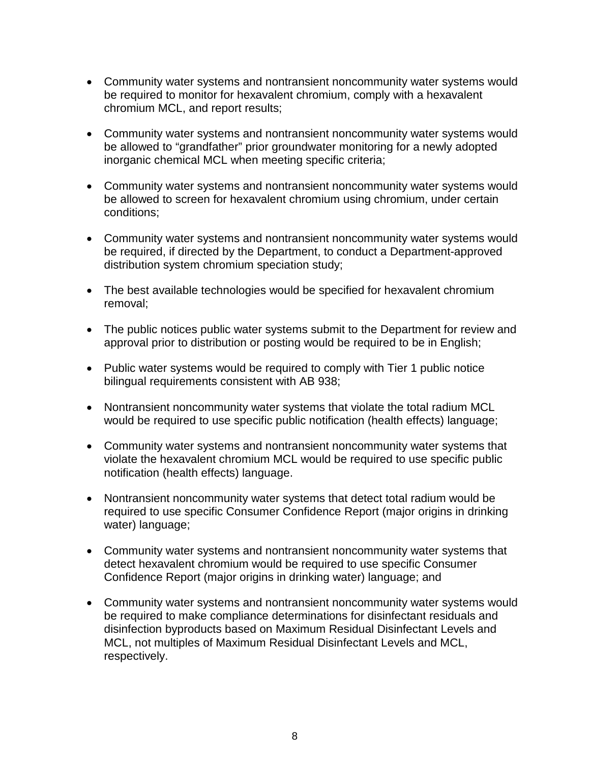- Community water systems and nontransient noncommunity water systems would be required to monitor for hexavalent chromium, comply with a hexavalent chromium MCL, and report results;
- Community water systems and nontransient noncommunity water systems would be allowed to "grandfather" prior groundwater monitoring for a newly adopted inorganic chemical MCL when meeting specific criteria;
- Community water systems and nontransient noncommunity water systems would be allowed to screen for hexavalent chromium using chromium, under certain conditions;
- Community water systems and nontransient noncommunity water systems would be required, if directed by the Department, to conduct a Department-approved distribution system chromium speciation study;
- The best available technologies would be specified for hexavalent chromium removal;
- The public notices public water systems submit to the Department for review and approval prior to distribution or posting would be required to be in English;
- Public water systems would be required to comply with Tier 1 public notice bilingual requirements consistent with AB 938;
- Nontransient noncommunity water systems that violate the total radium MCL would be required to use specific public notification (health effects) language;
- Community water systems and nontransient noncommunity water systems that violate the hexavalent chromium MCL would be required to use specific public notification (health effects) language.
- Nontransient noncommunity water systems that detect total radium would be required to use specific Consumer Confidence Report (major origins in drinking water) language;
- Community water systems and nontransient noncommunity water systems that detect hexavalent chromium would be required to use specific Consumer Confidence Report (major origins in drinking water) language; and
- Community water systems and nontransient noncommunity water systems would be required to make compliance determinations for disinfectant residuals and disinfection byproducts based on Maximum Residual Disinfectant Levels and MCL, not multiples of Maximum Residual Disinfectant Levels and MCL, respectively.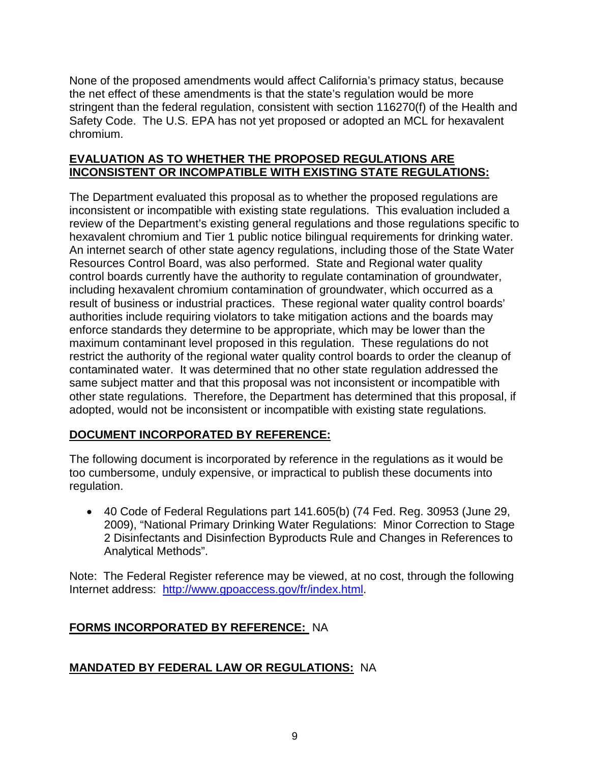None of the proposed amendments would affect California's primacy status, because the net effect of these amendments is that the state's regulation would be more stringent than the federal regulation, consistent with section 116270(f) of the Health and Safety Code. The U.S. EPA has not yet proposed or adopted an MCL for hexavalent chromium.

### **EVALUATION AS TO WHETHER THE PROPOSED REGULATIONS ARE INCONSISTENT OR INCOMPATIBLE WITH EXISTING STATE REGULATIONS:**

The Department evaluated this proposal as to whether the proposed regulations are inconsistent or incompatible with existing state regulations. This evaluation included a review of the Department's existing general regulations and those regulations specific to hexavalent chromium and Tier 1 public notice bilingual requirements for drinking water. An internet search of other state agency regulations, including those of the State Water Resources Control Board, was also performed. State and Regional water quality control boards currently have the authority to regulate contamination of groundwater, including hexavalent chromium contamination of groundwater, which occurred as a result of business or industrial practices. These regional water quality control boards' authorities include requiring violators to take mitigation actions and the boards may enforce standards they determine to be appropriate, which may be lower than the maximum contaminant level proposed in this regulation. These regulations do not restrict the authority of the regional water quality control boards to order the cleanup of contaminated water. It was determined that no other state regulation addressed the same subject matter and that this proposal was not inconsistent or incompatible with other state regulations. Therefore, the Department has determined that this proposal, if adopted, would not be inconsistent or incompatible with existing state regulations.

### **DOCUMENT INCORPORATED BY REFERENCE:**

The following document is incorporated by reference in the regulations as it would be too cumbersome, unduly expensive, or impractical to publish these documents into regulation.

• 40 Code of Federal Regulations part 141.605(b) (74 Fed. Reg. 30953 (June 29, 2009), "National Primary Drinking Water Regulations: Minor Correction to Stage 2 Disinfectants and Disinfection Byproducts Rule and Changes in References to Analytical Methods".

Note: The Federal Register reference may be viewed, at no cost, through the following Internet address: [http://www.gpoaccess.gov/fr/index.html.](http://www.gpoaccess.gov/fr/index.html)

# **FORMS INCORPORATED BY REFERENCE:** NA

### **MANDATED BY FEDERAL LAW OR REGULATIONS:** NA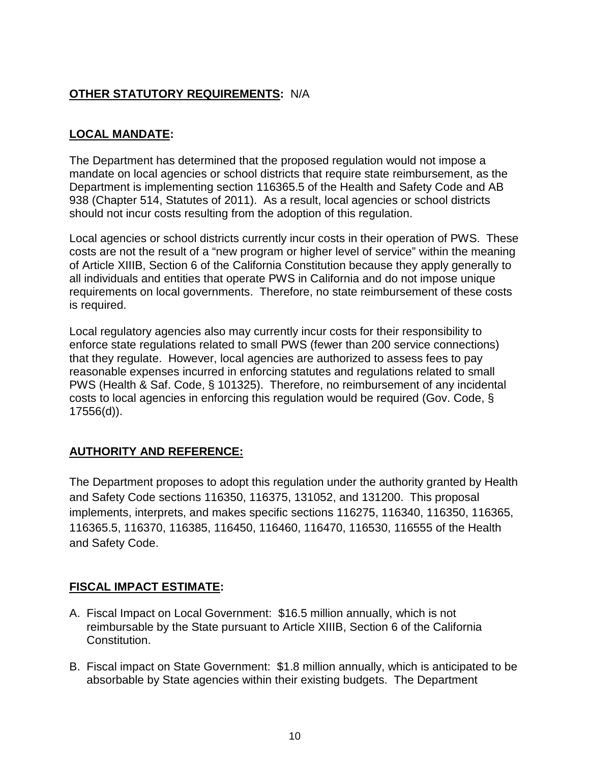## **OTHER STATUTORY REQUIREMENTS:** N/A

## **LOCAL MANDATE:**

The Department has determined that the proposed regulation would not impose a mandate on local agencies or school districts that require state reimbursement, as the Department is implementing section 116365.5 of the Health and Safety Code and AB 938 (Chapter 514, Statutes of 2011). As a result, local agencies or school districts should not incur costs resulting from the adoption of this regulation.

Local agencies or school districts currently incur costs in their operation of PWS. These costs are not the result of a "new program or higher level of service" within the meaning of Article XIIIB, Section 6 of the California Constitution because they apply generally to all individuals and entities that operate PWS in California and do not impose unique requirements on local governments. Therefore, no state reimbursement of these costs is required.

Local regulatory agencies also may currently incur costs for their responsibility to enforce state regulations related to small PWS (fewer than 200 service connections) that they regulate. However, local agencies are authorized to assess fees to pay reasonable expenses incurred in enforcing statutes and regulations related to small PWS (Health & Saf. Code, § 101325). Therefore, no reimbursement of any incidental costs to local agencies in enforcing this regulation would be required (Gov. Code, § 17556(d)).

### **AUTHORITY AND REFERENCE:**

The Department proposes to adopt this regulation under the authority granted by Health and Safety Code sections 116350, 116375, 131052, and 131200. This proposal implements, interprets, and makes specific sections 116275, 116340, 116350, 116365, 116365.5, 116370, 116385, 116450, 116460, 116470, 116530, 116555 of the Health and Safety Code.

### **FISCAL IMPACT ESTIMATE:**

- A. Fiscal Impact on Local Government: \$16.5 million annually, which is not reimbursable by the State pursuant to Article XIIIB, Section 6 of the California Constitution.
- B. Fiscal impact on State Government: \$1.8 million annually, which is anticipated to be absorbable by State agencies within their existing budgets. The Department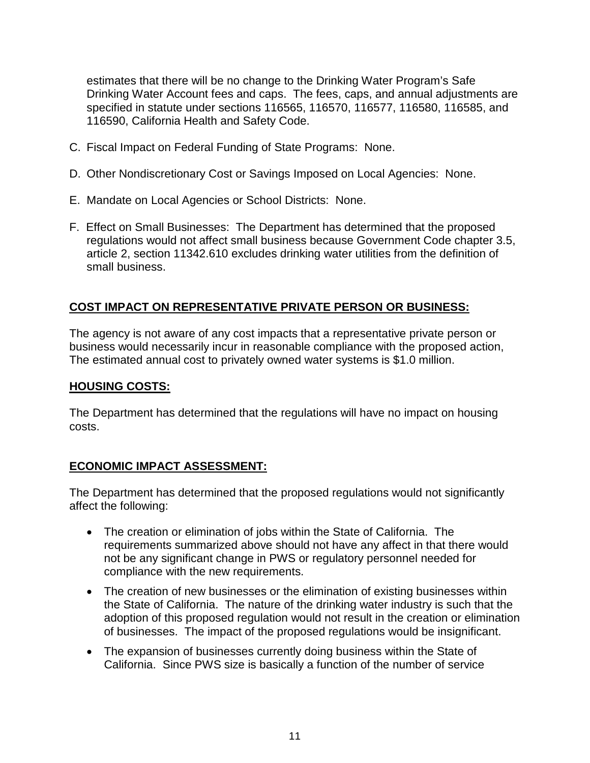estimates that there will be no change to the Drinking Water Program's Safe Drinking Water Account fees and caps. The fees, caps, and annual adjustments are specified in statute under sections 116565, 116570, 116577, 116580, 116585, and 116590, California Health and Safety Code.

- C. Fiscal Impact on Federal Funding of State Programs: None.
- D. Other Nondiscretionary Cost or Savings Imposed on Local Agencies: None.
- E. Mandate on Local Agencies or School Districts: None.
- F. Effect on Small Businesses: The Department has determined that the proposed regulations would not affect small business because Government Code chapter 3.5, article 2, section 11342.610 excludes drinking water utilities from the definition of small business.

### **COST IMPACT ON REPRESENTATIVE PRIVATE PERSON OR BUSINESS:**

The agency is not aware of any cost impacts that a representative private person or business would necessarily incur in reasonable compliance with the proposed action, The estimated annual cost to privately owned water systems is \$1.0 million.

#### **HOUSING COSTS:**

The Department has determined that the regulations will have no impact on housing costs.

#### **ECONOMIC IMPACT ASSESSMENT:**

The Department has determined that the proposed regulations would not significantly affect the following:

- The creation or elimination of jobs within the State of California. The requirements summarized above should not have any affect in that there would not be any significant change in PWS or regulatory personnel needed for compliance with the new requirements.
- The creation of new businesses or the elimination of existing businesses within the State of California. The nature of the drinking water industry is such that the adoption of this proposed regulation would not result in the creation or elimination of businesses. The impact of the proposed regulations would be insignificant.
- The expansion of businesses currently doing business within the State of California. Since PWS size is basically a function of the number of service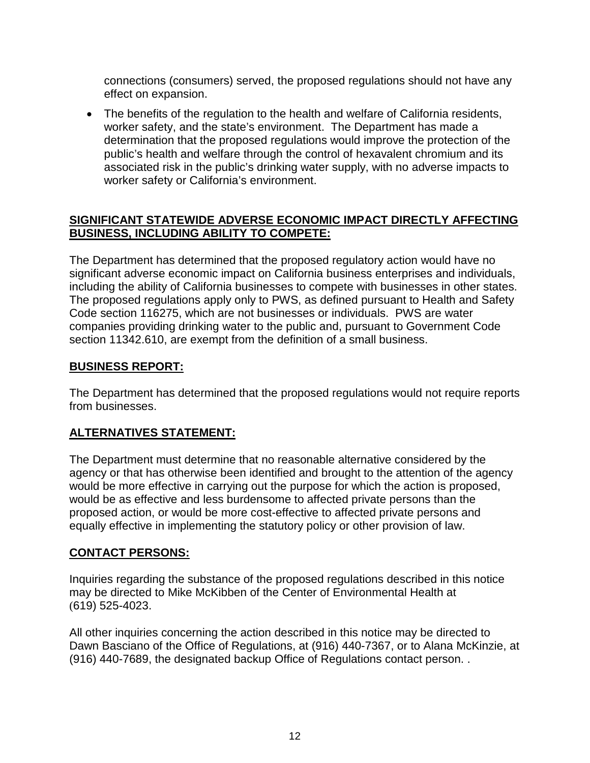connections (consumers) served, the proposed regulations should not have any effect on expansion.

• The benefits of the regulation to the health and welfare of California residents, worker safety, and the state's environment. The Department has made a determination that the proposed regulations would improve the protection of the public's health and welfare through the control of hexavalent chromium and its associated risk in the public's drinking water supply, with no adverse impacts to worker safety or California's environment.

#### **SIGNIFICANT STATEWIDE ADVERSE ECONOMIC IMPACT DIRECTLY AFFECTING BUSINESS, INCLUDING ABILITY TO COMPETE:**

The Department has determined that the proposed regulatory action would have no significant adverse economic impact on California business enterprises and individuals, including the ability of California businesses to compete with businesses in other states. The proposed regulations apply only to PWS, as defined pursuant to Health and Safety Code section 116275, which are not businesses or individuals. PWS are water companies providing drinking water to the public and, pursuant to Government Code section 11342.610, are exempt from the definition of a small business.

#### **BUSINESS REPORT:**

The Department has determined that the proposed regulations would not require reports from businesses.

### **ALTERNATIVES STATEMENT:**

The Department must determine that no reasonable alternative considered by the agency or that has otherwise been identified and brought to the attention of the agency would be more effective in carrying out the purpose for which the action is proposed, would be as effective and less burdensome to affected private persons than the proposed action, or would be more cost-effective to affected private persons and equally effective in implementing the statutory policy or other provision of law.

### **CONTACT PERSONS:**

Inquiries regarding the substance of the proposed regulations described in this notice may be directed to Mike McKibben of the Center of Environmental Health at (619) 525-4023.

All other inquiries concerning the action described in this notice may be directed to Dawn Basciano of the Office of Regulations, at (916) 440-7367, or to Alana McKinzie, at (916) 440-7689, the designated backup Office of Regulations contact person. .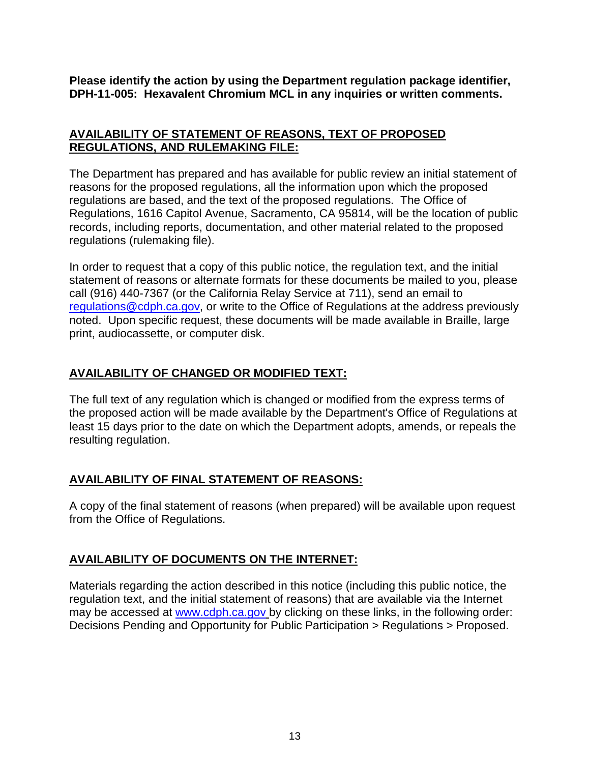**Please identify the action by using the Department regulation package identifier, DPH-11-005: Hexavalent Chromium MCL in any inquiries or written comments.** 

#### **AVAILABILITY OF STATEMENT OF REASONS, TEXT OF PROPOSED REGULATIONS, AND RULEMAKING FILE:**

The Department has prepared and has available for public review an initial statement of reasons for the proposed regulations, all the information upon which the proposed regulations are based, and the text of the proposed regulations. The Office of Regulations, 1616 Capitol Avenue, Sacramento, CA 95814, will be the location of public records, including reports, documentation, and other material related to the proposed regulations (rulemaking file).

In order to request that a copy of this public notice, the regulation text, and the initial statement of reasons or alternate formats for these documents be mailed to you, please call (916) 440-7367 (or the California Relay Service at 711), send an email to [regulations@cdph.ca.gov,](mailto:regulations@cdph.ca.gov) or write to the Office of Regulations at the address previously noted. Upon specific request, these documents will be made available in Braille, large print, audiocassette, or computer disk.

#### **AVAILABILITY OF CHANGED OR MODIFIED TEXT:**

The full text of any regulation which is changed or modified from the express terms of the proposed action will be made available by the Department's Office of Regulations at least 15 days prior to the date on which the Department adopts, amends, or repeals the resulting regulation.

### **AVAILABILITY OF FINAL STATEMENT OF REASONS:**

A copy of the final statement of reasons (when prepared) will be available upon request from the Office of Regulations.

### **AVAILABILITY OF DOCUMENTS ON THE INTERNET:**

Materials regarding the action described in this notice (including this public notice, the regulation text, and the initial statement of reasons) that are available via the Internet may be accessed at [www.cdph.ca.gov](http://www.cdph.ca.gov/) by clicking on these links, in the following order: Decisions Pending and Opportunity for Public Participation > Regulations > Proposed.